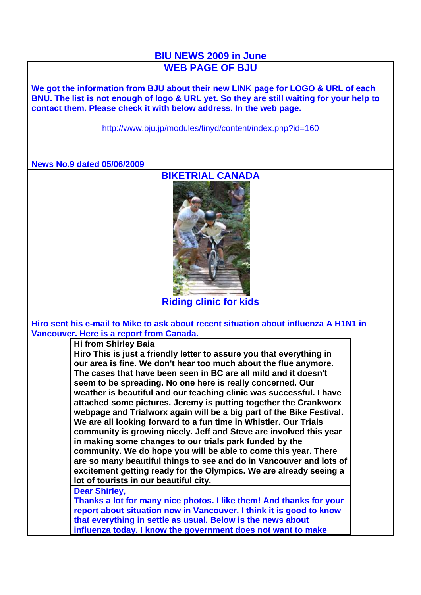## **BIU NEWS 2009 in June WEB PAGE OF BJU**

**We got the information from BJU about their new LINK page for LOGO & URL of each BNU. The list is not enough of logo & URL yet. So they are still waiting for your help to contact them. Please check it with below address. In the web page.**

http://www.bju.jp/modules/tinyd/content/index.php?id=160

**News No.9 dated 05/06/2009**



**Riding clinic for kids**

**Hiro sent his e-mail to Mike to ask about recent situation about influenza A H1N1 in Vancouver. Here is a report from Canada.** 

**Hi from Shirley Baia Hiro This is just a friendly letter to assure you that everything in our area is fine. We don't hear too much about the flue anymore. The cases that have been seen in BC are all mild and it doesn't seem to be spreading. No one here is really concerned. Our weather is beautiful and our teaching clinic was successful. I have attached some pictures. Jeremy is putting together the Crankworx webpage and Trialworx again will be a big part of the Bike Festival. We are all looking forward to a fun time in Whistler. Our Trials community is growing nicely. Jeff and Steve are involved this year in making some changes to our trials park funded by the community. We do hope you will be able to come this year. There** 

**are so many beautiful things to see and do in Vancouver and lots of excitement getting ready for the Olympics. We are already seeing a lot of tourists in our beautiful city.**

**Dear Shirley,**

**Thanks a lot for many nice photos. I like them! And thanks for your report about situation now in Vancouver. I think it is good to know that everything in settle as usual. Below is the news about influenza today. I know the government does not want to make**